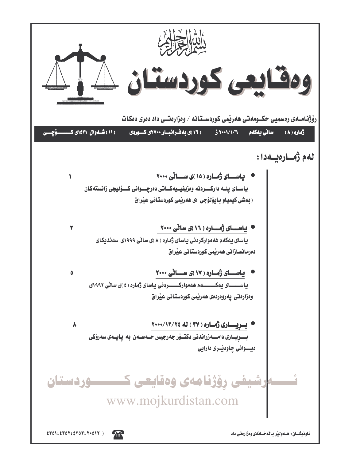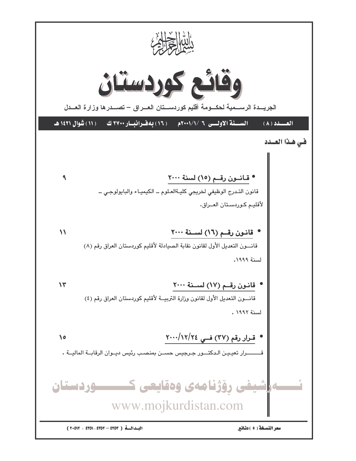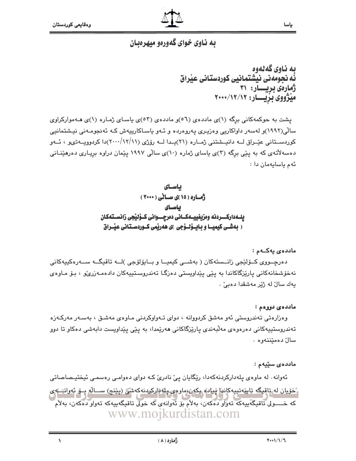$\lambda$ 

![](_page_2_Picture_1.jpeg)

## به ناوی خوای گهورهو میهرهبان

به ناوی گهلهوه ئُه نحومهني نيشتمانيي كوردستاني عيْراق ژمارەى بريسار: ۳۱ میژووی بزیسار: ۲۰۰۰/۱۲/۱۲

پشت به حوکمهکانی برگه (۱)ی ماددهی (٥٦)و ماددهی (٥٣)ی پاسای ژماره (۱)ی هـهموارکراوی سالی(۱۹۹۲)و لهسهر داواکاریی وهزیری یهروهرده و ئـهو یاسـاکارییهش کـه ئهنجومـهنی نیـشتمانیی کوردستانی عیّـراق لــه دانیــشتنی ژمــاره (۲۱)یــدا لــه رۆژی (۱۱/۱۲/۱۱)دا کردوویــهتىو ، ئــهو دهسهلاتهی که به پیّی برگه (۳)ی پاسای ژماره (۱۰)ی سالّی ۱۹۹۷ پیّمان دراوه بریـاری دهرهینـانی ئەم باسايەمان دا :

ياسـاى ژهاره ( ۱۵ )ی سالی ( ۲۰۰۰ ) باسای يلـــهداركـــــــردنـه ومزيفييــــهكـــانى دەرچــــــوانى كـــۆليجى زانســـتهكـان ( بهشـی کیمیـا و بـایــوْلــوْجی )ی ههریمی کــوردسـتـانی عیـْـراق

#### ماددەي يەكــەم :

دەرچــووی کــۆلێجی زانــستەکان ( بەشــی کیمیــا و بــایۆلۆجی )لــە تاقیگــە ســەرەکیپەکانی نەخۆشخانەكانى يارێزگاكاندا بە پێى پێداويستى دەزگـا تەندروسـتپپەكان دادەمـەزرىێو ، بۆ مـاوەى يەك سالٌ لە ژێر مەشقدا دەبى ٌ .

#### ماددە*ى* دووەم :

وەزارەتى تەندروستى ئەو مەشق كردووانە ، دواى تـەواوكردنى مـاوەي مەشىق ، بەسـەر مەركـەزە تەندروستپپەكانى دەرەوەي مەلّبەندى پارێزگاكانى ھەرێمدا، بە پێى پێداوپست دابەشى دەكاو تا دوو سالٌ دەمێننەوە .

#### ماددە*ى* سێپەم :

ئەوانە لە ماوەي يلەداركردنەكەدا، رێگايان يێ نادرێ كـﻪ دواي دەوامـي رەسمـي ئيختيـصاصاتي څخويان له تاقيکه ټايپه تيپه کانوا شيادا، بکهن،ماومي پاڼه ارکردنه که شي (پێنج) ســاله بــو ئهواتـــا يې که خــــولى تاقيگەبيەکە تەۋار دەكەن، بەلأم بۆ ئەوانەي كە خولى تاقيگەبيەکە تەوار دەكەن، بەلأم www.mojkurdistan.com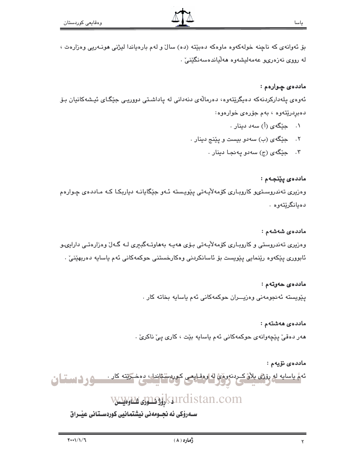بق ئەوانەي كە ناچنە خولەكەوە ماوەكە دەبێتە (دە) سالٌ و لەم بارەياندا ليژنى ھونـەريى وەزارەت ، له رووي نەزەرى، عەمەليشەوە ھەلياندەسەنگێنىٚ .

## مادده $\bm{s}$  چوارهم :

ئەوەي پلەداركردنەكە دەپگرێتەوە، دەرمالەي دنەدانى لە پاداشتى دوورپى جێگاى ئيشەكانيان بۆ دەبردرێتەوە ، بەم جۆرەى خوارەوە:

- ۰۱ \_ حِیْگَهِی (أ) سه د دینار
- ۲. حیکهی (ب) سهدو بیست و پێنج دینار .
	- ۰۳ جێگهی (ج) سهدو پهنجـا دینار ۰

ماددەى يێنجەم :

وهزیری تەندروستىو كاروبارى كۆمەلأيەتى يێويستە ئـەو جێگايانـە دياربكـا كـە مـاددەی چـوارەم دەيانگرێتەوە .

#### ماددەي شەشەم :

وهزیری تەندروستی و کاروباری کۆمەلأیـەتی بـۆی ھەپـە بەھاوتـەگبیری لـە گـەلٌ وەزارەتـی دارایىـو ئابووري پێِکەوە رێنمايي پێویست بۆ ئاسانکردنی وەکارخستنی حوکمەکانی ئەم ياساپە دەربھێنیٚ ٠

#### ماددەى خەرتەم :

يێويسته ئەنجومەنى وەزپــران حوكمەكانى ئەم ياسايە بخاتە كار .

#### ماددەى ھەشتەم :

هەر دەقى يێچەوانەي حوكمەكانى ئەم ياسايە بێت ، كارى يى ناكرى .

#### ماددەى نۆيەم :

ئهمُّ ياسايه له روَّثَى بلاَّنْ كردنه وهُيُّ له اوهقايص كوردستاندا، دهخـريّته كار . مسكور فـ استفاق

## <u>vwww.jnsjkurdistan.com ارتود اول</u>

ســهروْکی ئه نجــومهنی نیشتمانیی کوردسـتـانی عیّــراق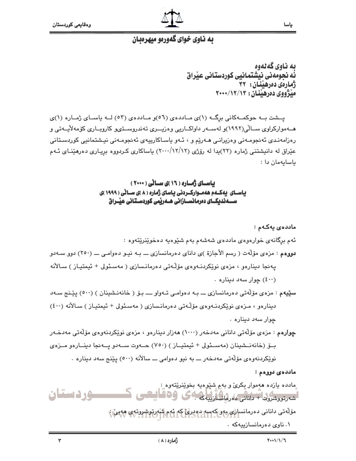![](_page_4_Picture_1.jpeg)

## به ناوی خوای گهورمو میهرمبان

ىە ناوي گەنەوە نُه نجومهني نيشتمانيي كوردستاني عيْراق ژمارهی دهرهننان: ٣٢ منځ ژووي ده رهيندان : ۲۰۰۰/۱۲/۱۳

یسشت بـه حوکمـهکانی برگــه (۱)ی مـاددهی (۵٦)و مـاددهی (٥٢) لــه یاســای ژمــاره (۱)ی هــهموارکراوی ســالّی(۱۹۹۲)و لهســهر داواکــاریی وهزیـــری تهندروســتوپو کارویــاری کۆمهلاّیــهتی و رەزامەنىدى ئەنجومـەنى وەزيرانـى ھـەرێم و ، ئـەو ياسـاكارپيەي ئەنجومـەنى نيـشتمانيى كوردسـتانى عێراق له دانیشتنی ژماره (۲۲)بدا له رۆژی (۱۲/۱۲/۱۲) باساکاری کـردووه بریـاری دهرهێنـای ئـهم باسايەمان دا :

> بیاسای ژماره ( ۱۶ )ی سالی ( ۲۰۰۰) یاســای یهکــهم ههمــوارکــردنی یاسای ژماره ( ۸ )ی ســانی ( ۱۹۹۹ )ی

ماددە*ى* يەكـەم : ئهم برگانهي خوارهوهي ماددهي شهشهم بهم شێوهپه دهخوێنرێتهوه : دووهم : مزدی مۆلَّهت ( رسم الأجازة )ی دانای دەرمانسازی ـــ بـه نیـو دەوامـی ـــ (٢٥٠) دوو سـهدو پەنجا دېنارەو ، مزەي نوپكردنـەوەي مۆلّـەتى دەرمانـسازى ( مەسـئولى + ئيمتيـاز ) سـالأنه (٤٠٠) چوار سه د ديناره . سٽيهم : مزهي مۆلّەتى دەرمانسازى ـــ بـه دەوامـى تـهواو ــــ بـۆ ( خانەنـشينان ) (٥٠٠) يێنج سـهد دينارەو ، مىزەي نوپكردنـەوەي مۆڭـەتى دەرمانـسازى ( مەسـئولى + ئيمتيـاز ) سـالأنه (٤٠٠) چوار سهد ديناره ٠ **چوارەم** : مزەي مۆلّەتى دانانى مەدخەر (١٠٠٠) ھەزار دىنارەو ، مزەي نوێكردنەوەي مۆلّەتى مەدخـەر بِــوْ (خانەنــشينان (مەســئولى + ئيمتيــاز ) (٧٥٠) حــەوت ســەدو يــەنجا دينــارەو مــزەي نوێِکردنهوهي مۆلّەتى مەدخەر ـــ بە نيو دەوامى ـــ سالآنە (٥٠٠) يێنج سەد دينارە ٠ ماددە*ى د*ورەم : ِمادده پارده ههموار بِکرِیٚ و بهم شَیٚوهیه بِخویِٚنریٚتهوه ِ : ـــودستان شەرتوپشروك + دانانج كەرلىك آزلىنى كى 300 كىلىشى مۆلەتى دانانى دەرمانسان، بەيكەسەردەدرىكى ئەم شەرتوشىروتوي ھەتمان ۰۱ ناوی دهرمانسازییهکه ۰  $\mathbf{r}$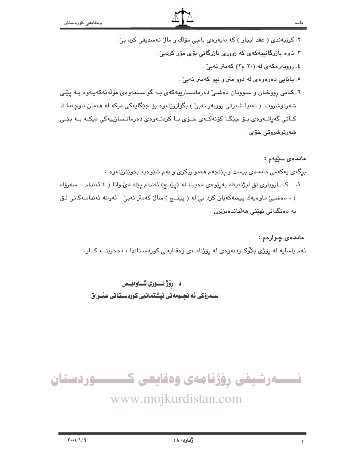- ٢. کرێبهندی ( عقد ایجار ) که دایهرهی باجی مۆلّك و مالٌ تهسدیقی کرد بیؒ ٠
	- ۰. ناوه بازرگانییهکهی که ژووری بازرگانی بۆی مۆر کردیے .
		- ٤. روویهرهکهی له (۲۰ م۲) کهمتر نهبیّ .
		- ٥. يانايي دەرەوەي لە دوو متر و نيو كەمتر نەبىّ .
- ٦. کـاتی رووخـان و سـووتان دهشـی دهرمانـسازیپهکهی بـه گواسـتنهوهی مۆلّهتهکهپـهوه بـه یێـی شەرتوشروت ( تەنيا شەرتى روويەر نەبىْ) بگوازريتەوە بۆ جێگايەكى دېكە لە ھەمان ناوچەدا تا کـاتی گەرانــەوەي بــۆ جێگــا کۆنەكــەي خــۆي يــا كردنــەوەي دەرمانــسازييەكى دېكــە بــە يێـى شەرتوشروتى خۆى .

ماددەي سێيەم :

برگەی پەكەمى ماددەی بيست و پێنجەم ھەمواربكریّ و بەم شێوەپە بخوێنرێتەوە :

١. كـاروباري لق ليژنهيهك بهريوهي دهبـا له (پيٽمج) ئهندام پيّك ديّ واتا (٤ ئهندام + سهروّك ) ، دەشبى ماوەيەك يېشەكەيان كرد بى لە (يێنسج) سال كەمتر نەبى . ئەوانە ئەندامەكانى لىق به دەنگدانى نهێنى ھەڵياندەبژێِرن .

ماددهي چوارهم : ئهم ياسايه له رۆژى بلاوكـــردنهوهى له رۆژنامــهى وەقــايعــى كوردسـتاندا ، دەخرێتـــه كــار.

د . رۆژ نـــورى شــاوەيــس ســهرۆکی ئه نجــومهنی نیشتمـانیی کوردســتـانی عیـّــراق

![](_page_5_Picture_12.jpeg)

www.mojkurdistan.com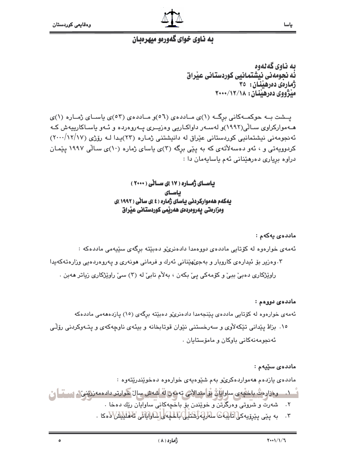$\delta$ 

![](_page_6_Picture_1.jpeg)

ياسا

## به ناوی خوای گهورمو میهرمبان

ىە ناوي گەنەوە ئه نجومهنی نیشتمانیی کوردستانی عیراق ژمارهی دهرهننان : ٣٥ ميژووي دەرھينان : ١٨/١٢/١٠٠٠

پشت به حوکمهکانی برگ (۱)ی ماددهی (٥٦) و ماددهی (٥٣)ی پاسای ژماره (۱)ی هـهموارکراوی سـالّی(۱۹۹۲)و لهسـهر داواکـاریی وهزیــری پــهروهرده و ئـهو باسـاکارییهش کـه ئه نجومهنی نیشتمانیی کوردستانی عیّراق له دانیشتنی ژماره (۲۳)یدا لـه روّژی (۱۷/۱۷/۱۷) کردوویهتی و ، ئهو دهسهلاٌتهی که به یێی برگه (۳)ی یاسای ژماره (۱۰)ی سـالّی ۱۹۹۷ یێمـان دراوه برياري دەرھێنانى ئەم ياسايەمان دا :

> بیاسای ژماره ( ۱۷ )ی سالی ( ۲۰۰۰) ىاساى بیه کهم هه موارکردنی بیاسای ژماره ( ٤ )ی سائی ( ١٩٩٢ )ی ومزارمتی یهرومردمی ههریمی کوردستانی عیراق

#### ماددەى يەكەم :

ئەمەی خوارەوە لە كۆتايى ماددەی دووەمدا دادەنرى،و دەبێتە برگەی سێيەمى ماددەكە : ۰۳ وهزیر بۆ ئیدارەی کاروبار و بەجىؒھێنانى ئەرك و فرمانى ھونەرى و پەروەردەيى وزارەتەكەيدا راوێژکاری دهبیؒ ببیؒ و کو٘مهکی پیؒ بکهن ، بهلاٚم نابیؒ له (۳) سیؒ راوێژکاری زیاتر ههبن ٠

#### ماددەئ دووەم :

ئەمەي خوارەوە لە كۆتايى ماددەي يێنجەمدا دادەنرى،و دەبێتە برگەي (١٥) يازدەھەمى ماددەكە

۱۰. بزاﭬ پێدانی تێکهلأوی و سهرخستنی نێوان قوتابخانه و بیئهی ناوچهکهی و پتـهوکردنی رۆڵـی ئەنجومەنەكانى باوكان و مامۆستايان .

#### ماددەي سێيەم :

مادده ی یازدهم ههمواردهکریْو بهم شَیْوهیهی خوارهوه دهخویندریتهوه : <sup>ء</sup>ًــ ١. ـ ووزاووتُ باخفُهِ ي ساوايَانُ بُرامِندالأمْي تهمهن لهُ أشهش سال حوارتر دادهمهزرينين ، سب تــا يُ ٢. شەرت و شروتى وەرگرتن و خويندن بۆ باخچەكانى ساوايان ريك دەخا .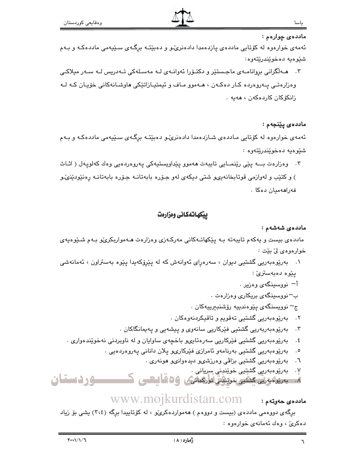ماددەى چوارەم :

ئهمهی خواردوه له کۆتایی ماددهی یازدهمدا دادهنریٌمو و دهبێتـه برگـهی سـێیهمی ماددهکـه و بـهم شنيوهيه دمخويندريتهوه:

۳. هـﻪلْگرانی بروانامـﻪی ماجـستێر و دکتـۆرا ئەوانـﻪی لـﻪ مەسـلەکی تـﻪدریس لـﻪ سـﻪر میلاکـی وهزارهتي پهروهرده کار دهکهن ، هـهموو مـاف و ئيمتيـازاتێکي هاوشـانهکاني خۆپـان کـه لـه زانكۆكان كاردەكەن ، ھەبە ،

ماددەى پێنجەم :

ئهمهی خوارهوه له کۆتایی مـاددهی شـازدهمدا دادهنریٌـو دهبێتـه برِگـهی سـێیهمی ماددهکـه و بـهم شئوهيه دەخوێندرێتەوە :

۴. وهزارهت بـــه يێي رێنمــايي تايبهت ههموو پێداويستيهکي پهروهردهيي وهك كهلويهل ( اثـاث ) و کتێب و لهوازمي قوتابخانه ییو شتی دیکهی لهو جـۆره بابهتانـه جـۆره بابهتانـه رەنێودێنوێو فەراھەميان دەكا .

## بيكهاتهكانى ومزارهت

#### ماددەي شەشەم :

ماددهی بیست و یهکهم تایبهته بـه یێکهاتـهکانی مهرکـهزی وهزارهت هـهمواربکریّو بـهم شـێوهیهی خوارەوەي لىٰ بێت :

- ۰۱ بهریوهبهریی گشتیی دیوان ، سهرهرای ئهوانهش که له پیروکهیدا پیوه بهستراون ، ئهمانهشی يێوه دەبەسترىٰ :
	- أ<sup>—</sup> نووسىينگەي وەزىير .
	- ب–نووسینگهی بریکاری وهزارهت .
	- ج– نوويسنگەی يێوەندىيە رۆشنبىرىيەكان .
	- ٢. بەريوەبەريى گشتيى تەقويم و تاقيكردنەوەكان .
	- ۳. بەرێوەبەربەریی گشتیی فێرکاریی سانەوی و پیشەیی و پەيمانگاکان ٠
	- بەرپوەبەريى گشتيى فێركاريى سەرەتاپىھ باخچەي ساواپان و لە ناوبردنى نەخوێندەوارى .  $.5$ 
		- ٥. بەرێوەبەرىيى گشتىيى بەرنامەو ئامرازى فێركارىو پلان دانانى پەروەردەيى .
			- ٦. بەرێوەبەرىيى گشتىيى بزاڤىي وەرزشىپو دىيدەوانىپو ھونەرى .
				- ٧. بەرێوەبەرىي گشتيى خوێنپني سريانى .

٨. بەريوەبەرتى كىشتىي خوينۇش تۈركمائىگ ، 36 قايىھى ك ــوردستان

#### www.mojkurdistan.com ماددەي ھەوتەم :

برِگەی دووەمی ماددەی (بیست و دووەم ) ھەمواردەكرى،و ، لە كۆتاييدا برگە (٣،٤) يشى بۆ زياد دەكرى، وەك ئەمانەي خوارەوە :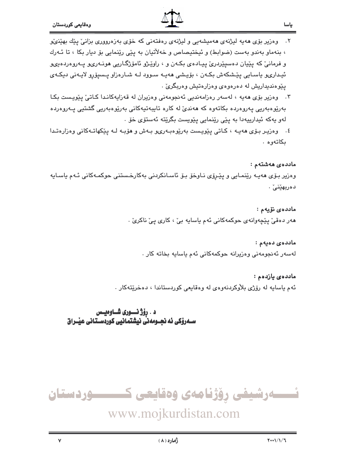$\mathbf{v}$ 

![](_page_8_Picture_1.jpeg)

- ۲. وەزیر بۆی ھەپە لیژنەی ھەمیشەیی و لیژنەی رەفتەنی كە خۆی بەزەرووری بزانئ يێك بهێنێ ، بنهماو بهندو بهست (ضوابط) و ئیختیصاص و خهلاٌتیان به پێی رێنمایی بۆ دیار بکا ، تا ئـهرك و فرمانيّ که پێيان دهسپێردرئ پيـادهي بکـهن و ، راوێـژو ئامۆژگـاريي هونـهريو پــهروهردهيىو ئيداريو پاسـايي يێشکەش بکـەن ، بۆيـشى ھەپـە سـوود لـه شـارەزاو پـسيۆرو لاپـەنى ديکـەي يێوهنديداريش له دهرهوهي وهزارهتيش وهريگريّ .
- ۴. وەزیر بۆی ھەبە ، لەسەر رەزامەندىي ئەنجومەنى وەزیران لە قەزاپەكانىدا كـاتى ٍ پێويىست بكـا بەرێوەبەرىي يەروەردە بكاتەوە كە ھەندىّ لە كارە تايبەتپەكانى بەرێوەبەرىي گشتيى يـەروەردە لەو يەكە ئيدارىيەدا بە يێى رێنمايى يێويست بگرێتە ئەستۆى خۆ ٠
- ٤. وەزيىر بىۆى ھەيــە ، كـاتى يێويـست بەرێوەبـەرىو بــەش و ھۆبــە لــە يێكھاتــەكانى وەزارەتـدا ىكاتەوە.

ماد*د*ە*ى ھ*ەشتەم :

وەزیر بۆی مەيـە رێنمـايى و پێـرۆی نـاوخۆ بـۆ ئاسـانكردنى بەكارخـستنى حوكمـەكانى ئـەم ياسـايە دەربھێنى ْ .

> ماددەى نۆيەم : هەر دەقىؒ پێچەوانەي حوكمەكانى ئەم ياسايە بىؒ ، كارى پىؒ ناكرىؒ ٠

ماددەى دەيەم : لەسەر ئەنجومەنى وەزيرانە حوكمەكانى ئەم ياسايە بخاتە كار .

ماددەي يازدەم : ئهم ياسايه له رۆژى بلاوكردنهوهى له وەقايعى كوردستاندا ، دەخرێتەكار .

د . رۆژ نــــوری شـــاوەيـــس 

![](_page_8_Picture_11.jpeg)

www.mojkurdistan.com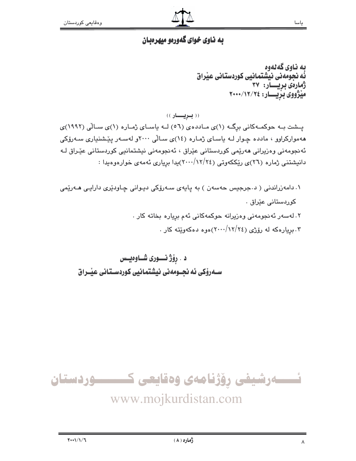## به ناوی خوای گهورهو میهرهبان

ىه ناوى گەنەوە نّه نجومهنی نیشتمانیی کوردستانی عیّراق ژمارەى بريسار: ۳۷ میژووی بزیسار: ٢٠٠٠/١٢/٢٤

(( بویسار ))

پشت به حوکمهکانی برگ (۱)ی ماددهی (٥٦) لـه یاسای ژماره (۱)ی سالّی (١٩٩٢)ی ههموارکراوو ، مادده چـوار لـه ياسـای ژمـاره (١٤)ی سـالّی ٢٠٠٠و لهسـهر يێشنياری سـهرۆکی ئەنجومەنى وەزيرانى ھەرپمى كوردستانى عێراق ، ئەنجومەنى نيشتمانيى كوردستانى عێـراق ك دانیشتنی ژماره (۲٦)ی ریککهوتی (۲۶//۲۶)یدا بریاری ئهمهی خوارهوهیدا :

۰۱ دامەزراندنی ( د جرجیس حەسەن ) بە ياپەی سـەرۆکی دیـوانی چـاودێری دارایـی مـەرێمی كوردستانى عێراق . ۲. لەسەر ئەنجومەنى وەزيرانە حوكمەكانى ئەم بريارە بخاتە كار . ۰. بریارهکه له رۆژی (۲۶/۱۲/۲٤)هوه دهکهوێته کار .

د . رۆژ نـــورى شــاوەيــس ســهروْکی ئه نجــومهنی نیشتمـانیی کوردسـتـانی عیْــراق

![](_page_9_Picture_8.jpeg)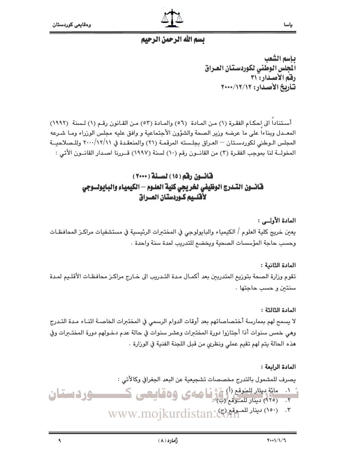$\mathbf{A}$ 

![](_page_10_Picture_1.jpeg)

## بسم الله الرحمن الرحيم

ياسم الشعب الجلس الوطنى لكوردستان العراق رفق الأصدار: ٣١ تأريخ الأصدار: ١٢/١٢/١٠٠٠

أستنادا الى احكام الفقرة (١) من المادة (٥٦) والمادة (٥٢) من القانون رقم (١) لسنة (١٩٩٢) المعــدل ويناءا على ما عرضه وزير الصحة والشؤون الأجتماعية و وافق عليه مجلس الوزراء ومـا شـرعه المجلس الـوطني لكوردسـتان — العـراق بجلـسته المرقمـة (٢١) والمنعقـدة في ٢٠٠٠/١٢/١١ وللـصلاحبــة المخولــة لنا بموجب الفقـرة (٢) من القانــون رقم (١٠) لسنة (١٩٩٧) قــررنا اصـدار القانــون الأتي :

## قانسون رقم (١٥) لسنة (٢٠٠٠) قانسون التسدرج الوظيفي لخريجي كلية العلـوم — الكيمياء والبـايولــوجي لأقلسيم كبودستان العسراق

المادة الأولىي : يعين خريج كلية العلوم / الكيمياء والبابولوجي في المختبرات الرئيسية في مستشفيات مراكـز المحافظـات وحسب حاجة المؤسسات الصحية ويخضم للتدريب لمدة سنة واحدة .

المادة الثانية :

تقوم وزارة الصحة بتوزيع المتدربين بعد أكمـال مـدة التـدريب الى خـارج مراكـز محافظـات الأقلـيم لمـدة سنتين وحسب حاجتها.

## المادة الثالثة :

لا يسمح لهم بممارسة أختصاصاتهم بعد أوقات الدوام الرسمي في المختبرات الخاصـة اثنـاء مـدة التـدرج وهي خمس سنوات أذا أجتازوا دورة المختبرات وعشر سنوات في حالة عدم دخـولهم دورة المختـبرات وفي هذه الحالة يتم لهم تقيم عملي ونظري من قبل اللجنة الفنية في الوزارة .

#### المادة الرابعة :

يصرف للمشمول بالتدرج مخصصات تشجيعية عن البعد الجغرافي وكالأتى :

م داد مائة بيثار الشعق (أ) وَجَدْنَا صلاى وهقاييعى كمستسبق وداستنان

ژُماره ( ۸ )

www.mojkurdistan: بيناد للسعفى www.mojkurdistan: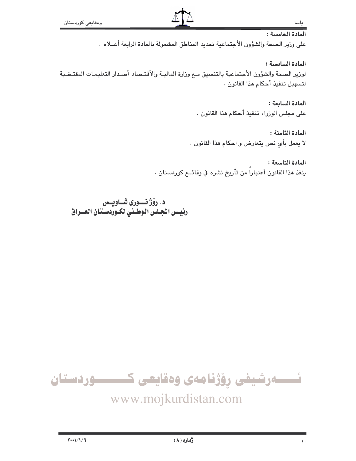### المادة الخامسة :

على وزير الصحة والشؤون الأجتماعية تحديد المناطق المشمولة بالمادة الرابعة أعــلاه .

المادة السادسة :

لوزير الصحة والشؤون الأجتماعية بالتنسيق مـم وزارة الماليـة والأقتـصاد أصـدار التعليمـات المقتـضية لتسهيل تنفيذ أحكام هذا القانون .

> المادة السابعة : على مجلس الوزراء تنفيذ أحكام هذا القانون .

المادة الثامنة : لا يعمل بأي نص يتعارض و احكام هذا القانون .

المادة التاسعة : ينفذ هذا القانون أعتباراً من تأريخ نشره في وقائــع كوردستان .

د. رۆژ نسورى شاويس رئيس الجلس الوطني لكـوردسـتـان العــراق

![](_page_11_Picture_10.jpeg)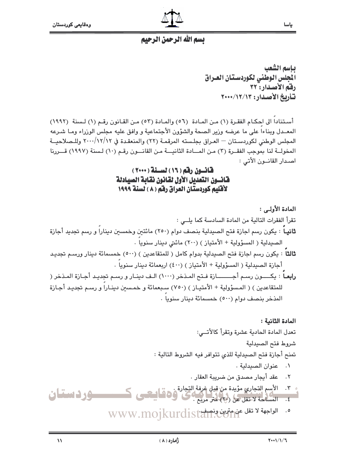![](_page_12_Picture_1.jpeg)

ياسا

## تسم الله الرحمن الرحيم

ياسم الشعب الجلس الوطنى لكوردستان العراق رفق الأصدار: ٣٢ تأريخ الأصدار: ١٢/١٢/١٣

أستناداً الى احكـام الفقـرة (١) مـن المـادة (٥٦) والمـادة (٥٣) مـن القـانون رقـم (١) لـسنة (١٩٩٢) المعــدل ويناءا على ما عرضه وزير الصحة والشؤون الأجتماعية و وافق عليه مجلس الوزراء ومـا شـرعه المجلس الوطني لكوردسـتان — العـراق بجلـسته المرقمـة (٢٢) والمنعقـدة في ٢٠٠٠/١٢/١٢ وللـصلاحيــة المخولــة لنا بموجب الفقــرة (٢) مـن المـــادة الثانيـــة مـن القانـــون رقـم (١٠) لـسنة (١٩٩٧) قـــررنا اصدار القانسون الأتي :

## قانسون رقم (١٦) لسنة (٢٠٠٠) فانسون التعديل الأول لقانون نقابة الصيادلة لأقليم كوردستان العراق رفم ( ٨ ) لسنة ١٩٩٩

المادة الأولى: : تقرأ الفقرات التالية من المادة السادسة كما يلــى : **ثانيـا** : يكون رسم اجازة فتح الصيدلية بنصف دوام (٢٥٠) مائتي*ن* وخمسين ديناراً و رسم تجديد أجازة الصيدلية ( المسؤولية + الأمتياز ) (٢٠٠) مائتي دينار سنوياً . **ثالثاً** : يكون رسم اجازة فتح الصيدلية بدوام كامل ( للمتقاعدين ) (٥٠٠) خمسمائة دينار ورسـم تجديـد أجازة الصيدلية ( المسؤولية + الأمتياز ) (٤٠٠) اربعمائة دينار سنويا . رابعـاً : يكـــــون رســم أجــــــــــازة فــتح المـذخر (١٠٠٠) الـف دينــار و رســم تجديـد أجــازة المـذخر ( للمتقاعدين ) ( المسؤولية + الأمتياز ) (٧٥٠) سبعمائة و خمسين دينـاراً و رسـم تجديـد أجـازة المذخر بنصف دوام (٥٠٠) خمسمائة دينار سنوياً .

المادة الثانية : تعدل المادة الحادية عشرة وتقرأ كالأتــي: شروط فتح الصيدلية تمنح أجازة فتح الصيدلية للذي تتوافر فيه الشروط التالية : ٠. عنوان الصيدلية . ٢. \_ عقد أيجار مصدق من ضريبة العقار . ٣. الأسم التجاري مؤيدة من قبل غرفة التجارة .<br>٤. المساحة لا تقل عن (ب) متر مربع .<br>٤. المساحة لا تقل عن (ب) متر مربع . ـــــوردستان

0. الواجهة لا تقل عن المتحدث والمتفقة الاستفادة الاستفرادة الاستفرادة الاستفرادة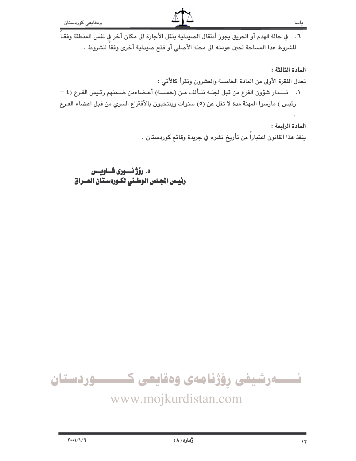٦. في حالة الهدم أو الحريق يجوز أنتقال الصيدلية بنقل الأجازة الى مكان أخر في نفس المنطقة وفقـاً للشروط عدا المساحة لحين عودته الى محله الأصلى أو فتح صيدلية أخرى وفقاً للشروط .

#### المادة الثالثة :

تعدل الفقرة الأولى من المادة الخامسة والعشرون وتقرأ كالأتي :

١. تـــدار شؤون الفرع من قبل لجنـة تتـألف مـن (خمـسة) أعـضاءمن ضـمنهم رئـيس الفـرع (٤ + رئيس ) مارسوا المهنة مدة لا تقل عن (٥) سنوات وينتخبون بالأقتراع السري من قبل اعضاء الفرع

## المادة الرابعة: ينفذ هذا القانون اعتبارا من تأريخ نشره في جريدة وقائع كوردستان .

د. رۆژ نسورى شاويس رئيس الجلس الوطني لكوردستان العـراق

![](_page_13_Picture_8.jpeg)

# www.mojkurdistan.com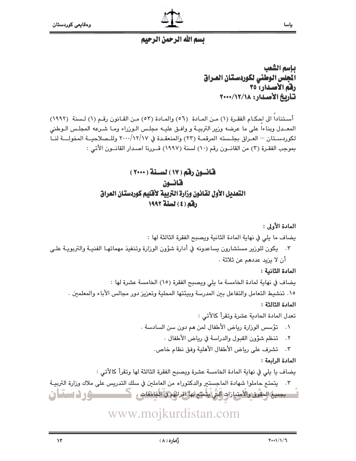![](_page_14_Picture_1.jpeg)

ياسا

## تسم الله الرحمن الرحيم

ياسم الشعب المجلس الوطني لكوردستان العراق رفق الأصدار: ٣٥ تأريخ الأصدار: ١٢/١٢/١٠٠٠

أسـتناداً الى احكـام الفقـرة (١) مـن المـادة (٥٦) والمـادة (٥٣) مـن القـانون رقـم (١) لـسنة (١٩٩٢) المعـدل وبناءا على ما عرضه وزير التربيـة و وافـق عليـه مجلـس الـوزراء ومـا شـرعه المجلـس الـوطنى لكوردسـتان — العـراق بجلـسته المرقمـة (٢٣) والمنعقـدة في ١٢/١٧/١٧ وللــصلاحيــة المخولـــة لنــا بموجب الفقـرة (٣) من القانــون رقم (١٠) لسنة (١٩٩٧) قــررنا اصـدار القانــون الأتي :

## قانون رقم (١٧) لسنة (٢٠٠٠) قانسن التعديل الأول لقانون وزارة التربية لأقليم كوردستان العراق رفقه (٤) لسنة ١٩٩٢

المادة الأولى : يضاف ما يلي في نهاية المادة الثانية ويصبح الفقرة الثالثة لها : ٢. يكون للوزير مستشارون يساعدونه في أدارة شؤون الوزارة وتنفيذ مهماتهـا الفنيـة والتربويـة علـي أن لا يزيد عددهم عن ثلاثة . المادة الثانية :

يضاف في نهاية لمادة الخامسة ما يلي ويصبح الفقرة (١٥) الخامسة عشرة لها : ١٥. تنشيط التعامل والتفاعل بين المدرسة وبيئتها المحلية وتعزيز دور مجالس الأباء والمعلمين . المادة الثالثة :

> تعدل المادة الحادية عشرة وتقرأ كالأتي : ٠١ - تؤسس الوزارة رياض الأطفال لمن هم دون سن السادسة ٠

- تنظم شؤون القبول والدراسة في رياض الأطفال .  $\cdot$   $\mathsf{r}$
- ٢. تشرف على رياض الأطفال الأهلية وفق نظام خاص.

المادة الرابعة :

يضاف يا يلي في نهاية المادة الخامسة عشرة ويصبح الفقرة الثالثة لها وتقرأ كالأتي :

٢. يتمتع حاملوا شهادة الماجستير والدكتوراه من العاملين في سلك التدريس على ملاك وزارة التربيـة - بجميع الحقوق والأمتيازات (لَتَى يتمتَع بها اقرائِهم في الجامعات ، مستخدمة **حی ذہبیتان** 

www.mojkurdistan.com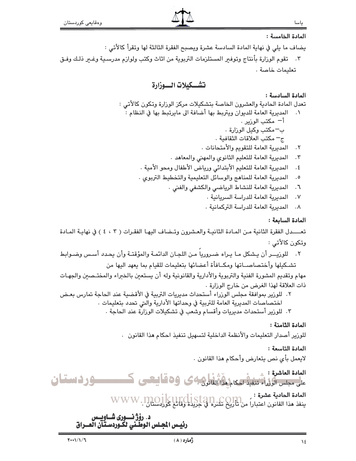#### المادة الخامسة :

- يضاف ما يلي في نهاية المادة السادسة عشرة ويصبح الفقرة الثالثة لها وتقرأ كالأتي :
- ٢. تقوم الوزارة بأنتاج وتوفير المستلزمات التربوية من اثاث وكتب ولوازم مدرسـية وغـير ذلـك وفـق تعليمات خاصة .

## تشكيلات السوزارة

## المادة السادسة :

تعدل المادة الحادية والعشرون الخاصة بتشكيلات مركز الوزارة وتكون كالأتى : ٠١ المديرية العامة للديوان ويتربط بها أضافة الى مايرتبط بها في النظام : أ<sup>ـــ</sup> مكتب الورير . ب—مكتب وكيل الوزارة . ج– مكتب العلاقات الثقافية . المديرية العامة للتقويم والأمتحانات .  $\cdot$   $\mathsf{r}$ 

- المديرية العامة للتعليم الثانوي والمهنى والمعاهد .  $\cdot$   $\mathsf{r}$
- المديرية العامة للتعليم الأبتدائي ورياض الأطفال ومحو الأمية .  $.5$
- المديرية العامة للمناهج والوسائل التعليمية والتخطيط التربوي .  $\cdot$  .  $\circ$ 
	- المديرية العامة للنشاط الرياضي والكشفى والفنى .  $\mathcal{F}$ .
		- $\cdot$  Y المديرية العامة للدراسة السريانية .
		- ٨. المديرية العامة للدراسة التركمانية .

المادة السابعة :

تعــــدل الفقرة الثانية مـن المـادة الثانيـة والعـشرون وتـضاف اليهـا الفقـرات ( ٢ ، ٤ ) في نهايـة المـادة وتكون كالأتى :

٢. للوزيـــر أن يـشكل مـا يـراه ضـروريا مـن اللجـان الدائمـة والمؤقتـة وأن يحدد أسـس وضـوابط تشكيلها وأختصاصــاتها ومكــافأة أعضائها بتعليمات للقيام بما يعهد اليها من

مهام وتقديم المشورة الفنية والتربوية والأدارية والقانونية وله أن يستعبن بالخبراء والمختـصبن والجهـات ذات العلاقة لهذا الغرض من خارج الوزارة .

- ٢. للورير بموافقة مجلس الورراء أستحداث مديريات التربية في الأقضية عند الحاجة تمارس بعـض اختصاصات المديرية العامة للتربية في وحداتها الأدارية والتي تحدد بتعليمات .
	- ٢. للورير أستحداث مديريات وأقسام وشعب في تشكيلات الورارة عند الحاجة .

المادة الثامنة :

للوزير أصدار التعليمات والأنظمة الداخلية لتسهيل تنفيذ احكام هذا القانون .

## المادة التاسعة :

لايعمل بأي نص يتعارض وأحكام هذا القانون .

المادة العاشرة : م مستحسب می با است به استفاده با استفاده است کار استفان

المادة الحادية عشرة :<br>ينفذ هذا القانون اعتباراً من تأريخ نشره في جريدة وقائع كورلسلبان. WWW.

# د. رۆژ نسوری شــاويــس<br>رئيــس الجـلس الوطـني لكـوردسـتـآن العــراق